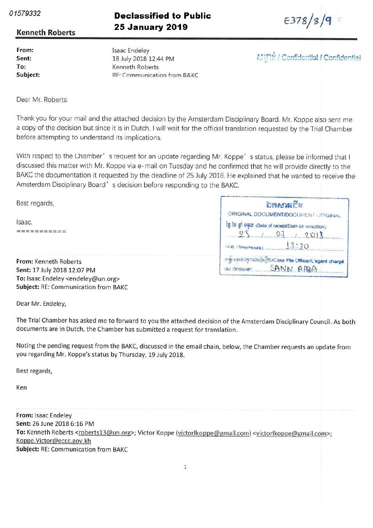01579332

## **Declassified to Public 25 January 2019**

 $E378/8/9$ 

## Kenneth Roberts

From Sent To Subject Isaac Endeley 18 July 2018 12:44 PM Kenneth Roberts RE: Communication from BAKC

**Mini / Confidential / Confidentiel** 

Dear Mr. Roberts:

Thank you for your mail and the attached decision by the Amsterdam Disciplinary Board. Mr. Koppe also sent me a copy of the decision but since it is in Dutch, I will wait for the official translation requested by the Trial Chamber before attempting to understand its implications

With respect to the Chamber' s request for an update regarding Mr. Koppe's status, please be informed that I discussed this matter with Mr. Koppe via e-mail on Tuesday and he confirmed that he will provide directly to the BAKC the documentation it requested by the deadline of 25 July 2018. He explained that he wanted to receive the Amsterdam Disciplinary Board's decision before responding to the BAKC.

| Best regards,               | <b>อิหลราส</b> เลีย                                |  |
|-----------------------------|----------------------------------------------------|--|
|                             | ORIGINAL DOCUMENT/DOCUMENT ORIGINAL                |  |
| Isaac.                      | is is an 9900 (Date of receipt/Date de reception). |  |
|                             |                                                    |  |
|                             | 13:20<br><b>COM (Time/Heure)</b>                   |  |
| From: Kenneth Roberts       | answerenduhlijtu/Case File Officer/L'agent charge  |  |
| Sent: 17 July 2018 12:07 PM | SANN RADA<br>du dossier:                           |  |

Sent: 17 July 2018 12:07 PM To: Isaac Endeley <endeley@un.org> Subject: RE: Communication from BAKC

Dear Mr. Endeley,

The Trial Chamber has asked me to forward to you the attached decision of the Amsterdam Disciplinary Council As both documents are in Dutch, the Chamber has submitted a request for translation.

Noting the pending request from the BAKC, discussed in the email chain, below, the Chamber requests an update from you regarding Mr. Koppe's status by Thursday, 19 July 2018.

Best regards

Ken

From: Isaac Endeley Sent: 26 June 2018 6:16 PM To: Kenneth Roberts <roberts13@un.org>; Victor Koppe (victorlkoppe@gmail.com) <victorlkoppe@gmail.com>; Koppe.Victor@eccc.gov.kh Subject: RE: Communication from BAKC